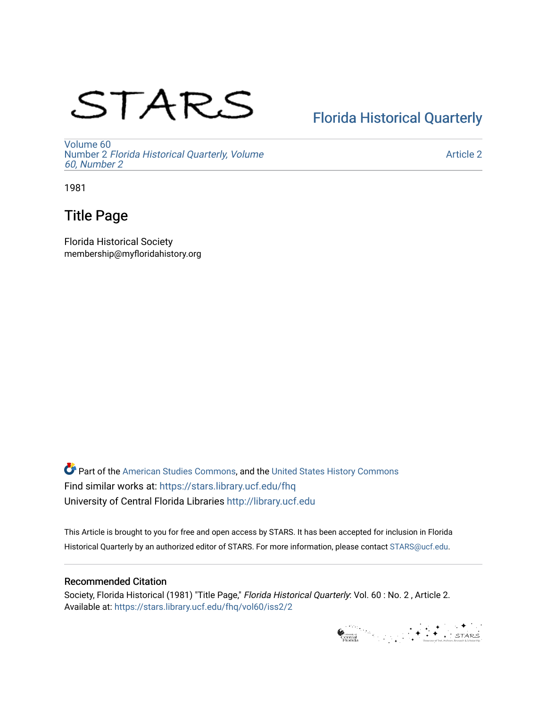# STARS

### [Florida Historical Quarterly](https://stars.library.ucf.edu/fhq)

[Volume 60](https://stars.library.ucf.edu/fhq/vol60) Number 2 [Florida Historical Quarterly, Volume](https://stars.library.ucf.edu/fhq/vol60/iss2)  [60, Number 2](https://stars.library.ucf.edu/fhq/vol60/iss2)

[Article 2](https://stars.library.ucf.edu/fhq/vol60/iss2/2) 

1981

### Title Page

Florida Historical Society membership@myfloridahistory.org

**C** Part of the [American Studies Commons](http://network.bepress.com/hgg/discipline/439?utm_source=stars.library.ucf.edu%2Ffhq%2Fvol60%2Fiss2%2F2&utm_medium=PDF&utm_campaign=PDFCoverPages), and the United States History Commons Find similar works at: <https://stars.library.ucf.edu/fhq> University of Central Florida Libraries [http://library.ucf.edu](http://library.ucf.edu/) 

This Article is brought to you for free and open access by STARS. It has been accepted for inclusion in Florida Historical Quarterly by an authorized editor of STARS. For more information, please contact [STARS@ucf.edu.](mailto:STARS@ucf.edu)

### Recommended Citation

Society, Florida Historical (1981) "Title Page," Florida Historical Quarterly: Vol. 60 : No. 2 , Article 2. Available at: [https://stars.library.ucf.edu/fhq/vol60/iss2/2](https://stars.library.ucf.edu/fhq/vol60/iss2/2?utm_source=stars.library.ucf.edu%2Ffhq%2Fvol60%2Fiss2%2F2&utm_medium=PDF&utm_campaign=PDFCoverPages) 

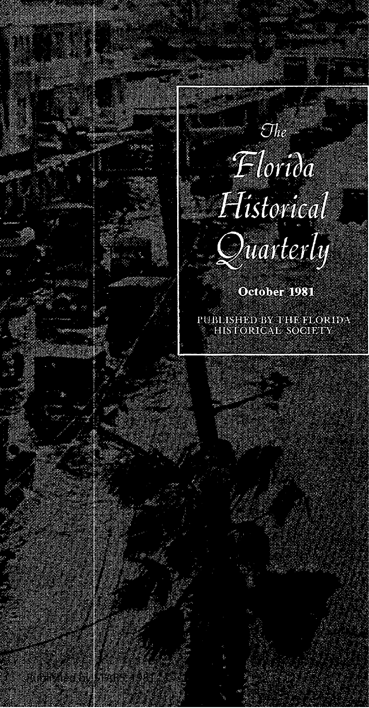## $Florida$ Historical

Society: Title Page<br>Society: Title Page

Published by STARS, 1981



 $\mathcal{O}he$ 

October 1981

PUBLISHED BY THE FLORIDA HIS FORICAL SOCIETY

1<br>1962 -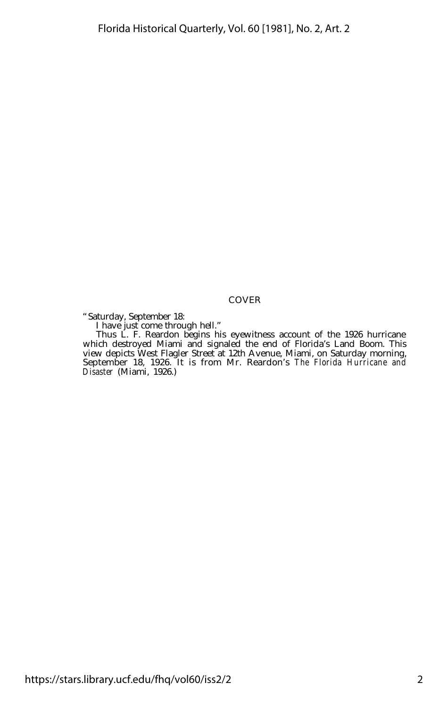#### COVER

"Saturday, September 18: I have just come through hell."

Thus L. F. Reardon begins his eyewitness account of the 1926 hurricane which destroyed Miami and signaled the end of Florida's Land Boom. This view depicts West Flagler Street at 12th Avenue, Miami, on Saturday morning, September 18, 1926. It is from Mr. Reardon's *The Florida Hurricane and Disaster* (Miami, 1926.)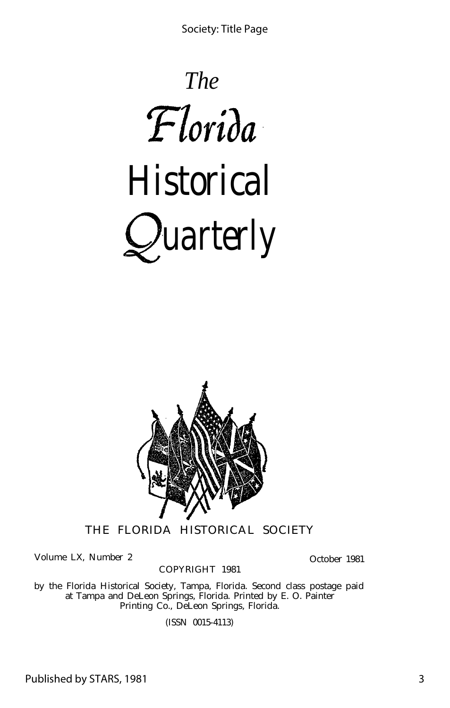Society: Title Page





THE FLORIDA HISTORICAL SOCIETY

Volume LX, Number 2

COPYRIGHT 1981

October 1981

by the Florida Historical Society, Tampa, Florida. Second class postage paid at Tampa and DeLeon Springs, Florida. Printed by E. O. Painter Printing Co., DeLeon Springs, Florida.

(ISSN 0015-4113)

Published by STARS, 1981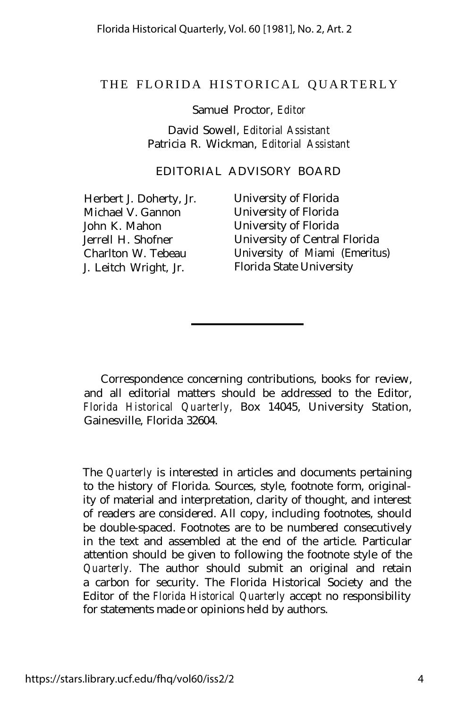### THE FLORIDA HISTORICAL QUARTERL Y

Samuel Proctor, *Editor*

David Sowell, *Editorial Assistant* Patricia R. Wickman, *Editorial Assistant*

EDITORIAL ADVISORY BOARD

Michael V. Gannon University of Florida John K. Mahon University of Florida J. Leitch Wright, Jr.

Herbert J. Doherty, Jr. University of Florida Jerrell H. Shofner University of Central Florida Charlton W. Tebeau <sup>University</sup> of Miami (Emeritus)<br>J. Leitch Wright. Jr. Florida State University

Correspondence concerning contributions, books for review, and all editorial matters should be addressed to the Editor, *Florida Historical Quarterly,* Box 14045, University Station, Gainesville, Florida 32604.

The *Quarterly* is interested in articles and documents pertaining to the history of Florida. Sources, style, footnote form, originality of material and interpretation, clarity of thought, and interest of readers are considered. All copy, including footnotes, should be double-spaced. Footnotes are to be numbered consecutively in the text and assembled at the end of the article. Particular attention should be given to following the footnote style of the *Quarterly.* The author should submit an original and retain a carbon for security. The Florida Historical Society and the Editor of the *Florida Historical Quarterly* accept no responsibility for statements made or opinions held by authors.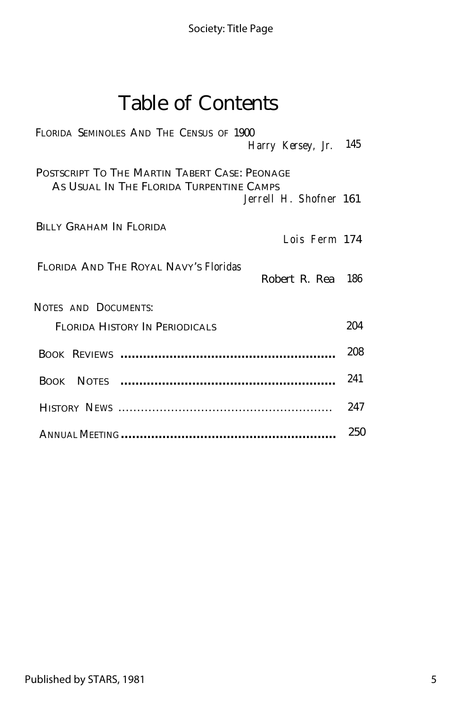## Table of Contents

| FLORIDA SEMINOLES AND THE CENSUS OF 1900                                                                            |               |     |
|---------------------------------------------------------------------------------------------------------------------|---------------|-----|
| Harry Kersey, Jr. 145                                                                                               |               |     |
| POSTSCRIPT TO THE MARTIN TABERT CASE: PEONAGE<br>AS USUAL IN THE FLORIDA TURPENTINE CAMPS<br>Jerrell H. Shofner 161 |               |     |
| BILLY GRAHAM IN FLORIDA                                                                                             | Lois Ferm 174 |     |
| FLORIDA AND THE ROYAL NAVY'S Floridas<br>Robert R. Rea                                                              |               | 186 |
| NOTES AND DOCUMENTS:                                                                                                |               |     |
| FLORIDA HISTORY IN PERIODICALS                                                                                      |               | 204 |
|                                                                                                                     |               | 208 |
|                                                                                                                     |               | 241 |
|                                                                                                                     |               | 247 |
|                                                                                                                     |               | 250 |